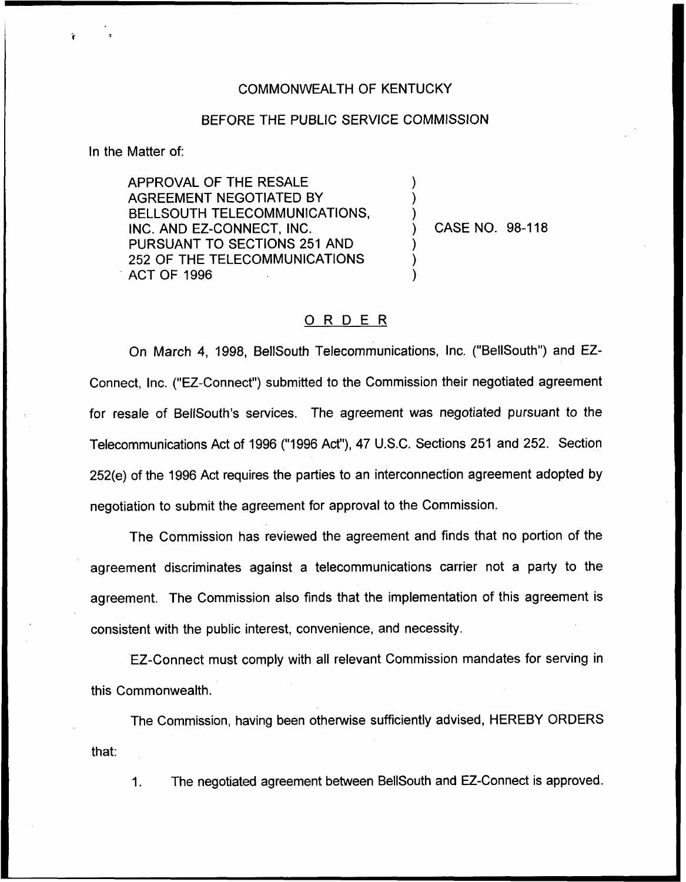## COMMONWEALTH OF KENTUCKY

## BEFORE THE PUBLIC SERVICE COMMISSION

) ) )

) ) )

In the Matter of:

APPROVAL OF THE RESALE AGREEMENT NEGOTIATED BY BELLSOUTH TELECOMMUNICATIONS, INC. AND EZ-CONNECT, INC. PURSUANT TO SECTIONS 251 AND 252 OF THE TELECOMMUNICATIONS ACT OF 1996

) CASE NO. 98-118

## ORDER

On March 4, 1998, BellSouth Telecommunications, Inc. ("BellSouth") and EZ-Connect, Inc. ("EZ-Connect") submitted to the Commission their negotiated agreemer for resale of BelISouth's services. The agreement was negotiated pursuant to the Telecommunications Act of 1996 ("1996Act"), 47 U.S.C. Sections 251 and 252. Section 252(e) of the 1996 Act requires the parties to an interconnection agreement adopted by negotiation to submit the agreement for approval to the Commission.

The Commission has reviewed the agreement and finds that no portion of the agreement discriminates against a telecommunications carrier not a party to the agreement. The Commission also finds that the implementation of this agreement is consistent with the public interest, convenience, and necessity.

EZ-Connect must comply with all relevant Commission mandates for serving in this Commonwealth.

The Commission, having been otherwise sufficiently advised, HEREBY ORDERS that:

1. The negotiated agreement between BellSouth and EZ-Connect is approved.